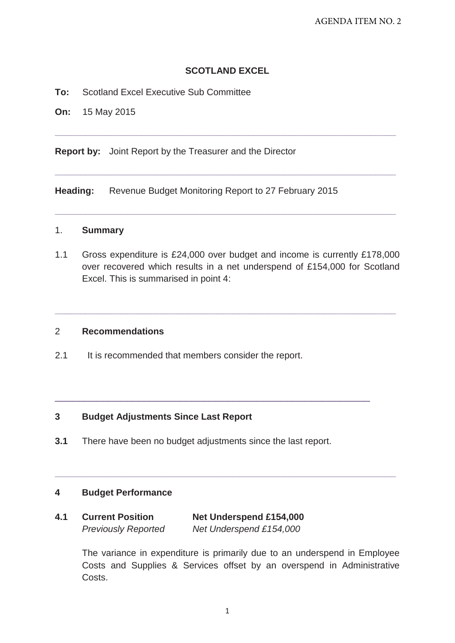# **SCOTLAND EXCEL**

**\_\_\_\_\_\_\_\_\_\_\_\_\_\_\_\_\_\_\_\_\_\_\_\_\_\_\_\_\_\_\_\_\_\_\_\_\_\_\_\_\_\_\_\_\_\_\_\_\_\_\_\_\_\_\_\_\_\_\_\_\_\_\_\_\_\_\_** 

**\_\_\_\_\_\_\_\_\_\_\_\_\_\_\_\_\_\_\_\_\_\_\_\_\_\_\_\_\_\_\_\_\_\_\_\_\_\_\_\_\_\_\_\_\_\_\_\_\_\_\_\_\_\_\_\_\_\_\_\_\_\_\_\_\_\_\_** 

**\_\_\_\_\_\_\_\_\_\_\_\_\_\_\_\_\_\_\_\_\_\_\_\_\_\_\_\_\_\_\_\_\_\_\_\_\_\_\_\_\_\_\_\_\_\_\_\_\_\_\_\_\_\_\_\_\_\_\_\_\_\_\_\_\_\_\_** 

**To:** Scotland Excel Executive Sub Committee

**On:** 15 May 2015

**Report by:** Joint Report by the Treasurer and the Director

**Heading:** Revenue Budget Monitoring Report to 27 February 2015

## 1. **Summary**

1.1 Gross expenditure is £24,000 over budget and income is currently £178,000 over recovered which results in a net underspend of £154,000 for Scotland Excel. This is summarised in point 4:

**\_\_\_\_\_\_\_\_\_\_\_\_\_\_\_\_\_\_\_\_\_\_\_\_\_\_\_\_\_\_\_\_\_\_\_\_\_\_\_\_\_\_\_\_\_\_\_\_\_\_\_\_\_\_\_\_\_\_\_\_\_\_\_\_\_\_\_** 

### 2 **Recommendations**

2.1 It is recommended that members consider the report.

### **3 Budget Adjustments Since Last Report**

**3.1** There have been no budget adjustments since the last report.

 $\_$  , and the set of the set of the set of the set of the set of the set of the set of the set of the set of the set of the set of the set of the set of the set of the set of the set of the set of the set of the set of th

**\_\_\_\_\_\_\_\_\_\_\_\_\_\_\_\_\_\_\_\_\_\_\_\_\_\_\_\_\_\_\_\_\_\_\_\_\_\_\_\_\_\_\_\_\_\_\_\_\_\_\_\_\_\_\_\_\_\_\_\_\_\_\_\_\_\_\_** 

### **4 Budget Performance**

| 4.1 | <b>Current Position</b>    | <b>Net Underspend £154,000</b> |  |  |  |  |  |  |
|-----|----------------------------|--------------------------------|--|--|--|--|--|--|
|     | <b>Previously Reported</b> | Net Underspend £154,000        |  |  |  |  |  |  |

The variance in expenditure is primarily due to an underspend in Employee Costs and Supplies & Services offset by an overspend in Administrative Costs.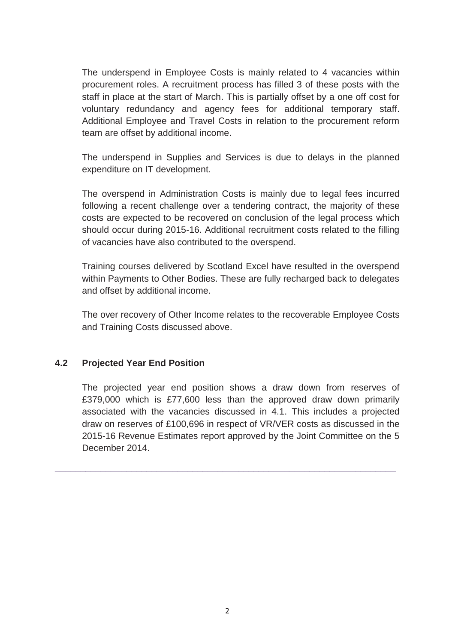The underspend in Employee Costs is mainly related to 4 vacancies within procurement roles. A recruitment process has filled 3 of these posts with the staff in place at the start of March. This is partially offset by a one off cost for voluntary redundancy and agency fees for additional temporary staff. Additional Employee and Travel Costs in relation to the procurement reform team are offset by additional income.

The underspend in Supplies and Services is due to delays in the planned expenditure on IT development.

The overspend in Administration Costs is mainly due to legal fees incurred following a recent challenge over a tendering contract, the majority of these costs are expected to be recovered on conclusion of the legal process which should occur during 2015-16. Additional recruitment costs related to the filling of vacancies have also contributed to the overspend.

Training courses delivered by Scotland Excel have resulted in the overspend within Payments to Other Bodies. These are fully recharged back to delegates and offset by additional income.

The over recovery of Other Income relates to the recoverable Employee Costs and Training Costs discussed above.

# **4.2 Projected Year End Position**

The projected year end position shows a draw down from reserves of £379,000 which is £77,600 less than the approved draw down primarily associated with the vacancies discussed in 4.1. This includes a projected draw on reserves of £100,696 in respect of VR/VER costs as discussed in the 2015-16 Revenue Estimates report approved by the Joint Committee on the 5 December 2014.

**\_\_\_\_\_\_\_\_\_\_\_\_\_\_\_\_\_\_\_\_\_\_\_\_\_\_\_\_\_\_\_\_\_\_\_\_\_\_\_\_\_\_\_\_\_\_\_\_\_\_\_\_\_\_\_\_\_\_\_\_\_\_\_\_\_\_\_**